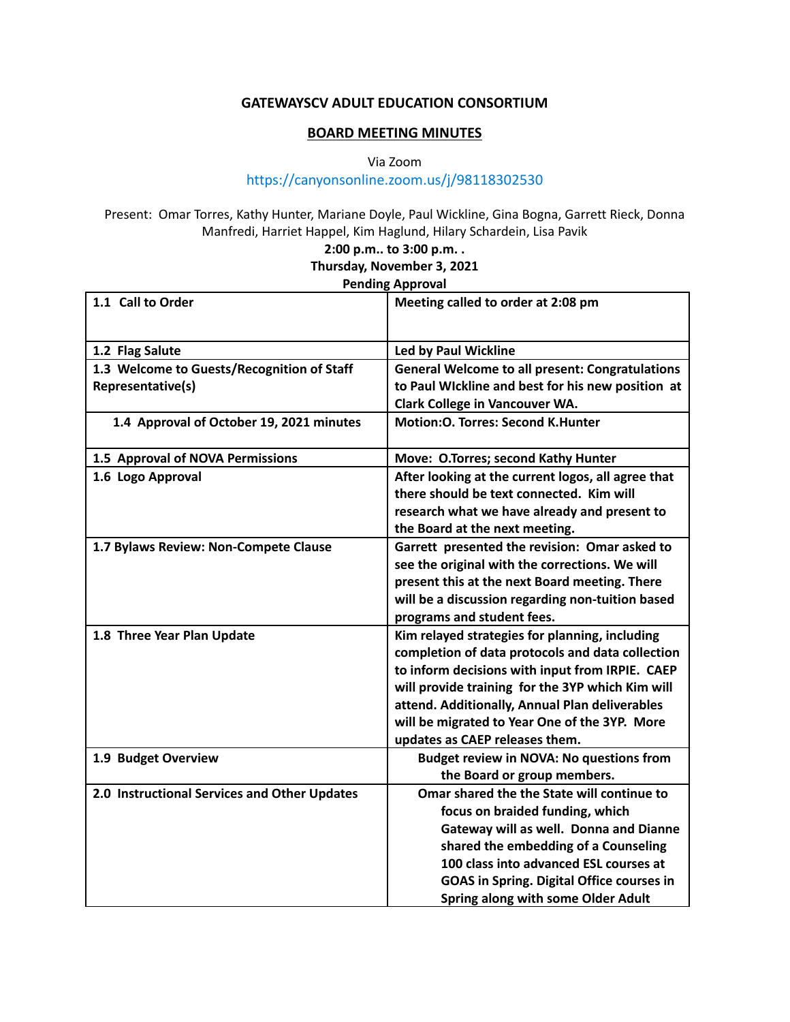## **GATEWAYSCV ADULT EDUCATION CONSORTIUM**

## **BOARD MEETING MINUTES**

Via Zoom

## https://canyonsonline.zoom.us/j/98118302530

Present: Omar Torres, Kathy Hunter, Mariane Doyle, Paul Wickline, Gina Bogna, Garrett Rieck, Donna Manfredi, Harriet Happel, Kim Haglund, Hilary Schardein, Lisa Pavik

**2:00 p.m.. to 3:00 p.m. .**

**Thursday, November 3, 2021**

## **Pending Approval**

| 1.1 Call to Order                            | Meeting called to order at 2:08 pm                     |
|----------------------------------------------|--------------------------------------------------------|
|                                              |                                                        |
| 1.2 Flag Salute                              | <b>Led by Paul Wickline</b>                            |
| 1.3 Welcome to Guests/Recognition of Staff   | <b>General Welcome to all present: Congratulations</b> |
| Representative(s)                            | to Paul Wickline and best for his new position at      |
|                                              | Clark College in Vancouver WA.                         |
| 1.4 Approval of October 19, 2021 minutes     | <b>Motion:O. Torres: Second K.Hunter</b>               |
| 1.5 Approval of NOVA Permissions             | Move: O.Torres; second Kathy Hunter                    |
| 1.6 Logo Approval                            | After looking at the current logos, all agree that     |
|                                              | there should be text connected. Kim will               |
|                                              | research what we have already and present to           |
|                                              | the Board at the next meeting.                         |
| 1.7 Bylaws Review: Non-Compete Clause        | Garrett presented the revision: Omar asked to          |
|                                              | see the original with the corrections. We will         |
|                                              | present this at the next Board meeting. There          |
|                                              | will be a discussion regarding non-tuition based       |
|                                              | programs and student fees.                             |
| 1.8 Three Year Plan Update                   | Kim relayed strategies for planning, including         |
|                                              | completion of data protocols and data collection       |
|                                              | to inform decisions with input from IRPIE. CAEP        |
|                                              | will provide training for the 3YP which Kim will       |
|                                              | attend. Additionally, Annual Plan deliverables         |
|                                              | will be migrated to Year One of the 3YP. More          |
|                                              | updates as CAEP releases them.                         |
| 1.9 Budget Overview                          | <b>Budget review in NOVA: No questions from</b>        |
|                                              | the Board or group members.                            |
| 2.0 Instructional Services and Other Updates | Omar shared the the State will continue to             |
|                                              | focus on braided funding, which                        |
|                                              | Gateway will as well. Donna and Dianne                 |
|                                              | shared the embedding of a Counseling                   |
|                                              | 100 class into advanced ESL courses at                 |
|                                              | <b>GOAS in Spring. Digital Office courses in</b>       |
|                                              | Spring along with some Older Adult                     |